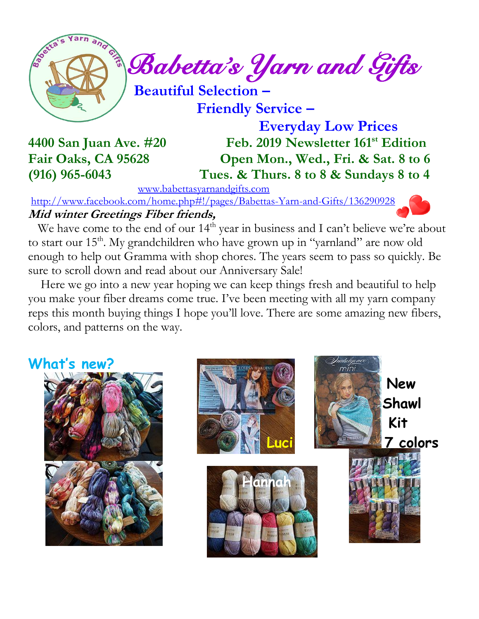

 *Babetta's Yarn and Gifts* 

 **Beautiful Selection –**

 **Friendly Service –**

 **Everyday Low Prices 4400 San Juan Ave. #20 Feb. 2019 Newsletter 161st Edition Fair Oaks, CA 95628 Open Mon., Wed., Fri. & Sat. 8 to 6 (916) 965-6043 Tues. & Thurs. 8 to 8 & Sundays 8 to 4**

[www.babettasyarnandgifts.com](http://www.babettasyarnandgifts.com/)

<http://www.facebook.com/home.php#!/pages/Babettas-Yarn-and-Gifts/136290928> **Mid winter Greetings Fiber friends,**

We have come to the end of our  $14<sup>th</sup>$  year in business and I can't believe we're about to start our 15<sup>th</sup>. My grandchildren who have grown up in "yarnland" are now old enough to help out Gramma with shop chores. The years seem to pass so quickly. Be sure to scroll down and read about our Anniversary Sale!

 Here we go into a new year hoping we can keep things fresh and beautiful to help you make your fiber dreams come true. I've been meeting with all my yarn company reps this month buying things I hope you'll love. There are some amazing new fibers, colors, and patterns on the way.

**What's new?**



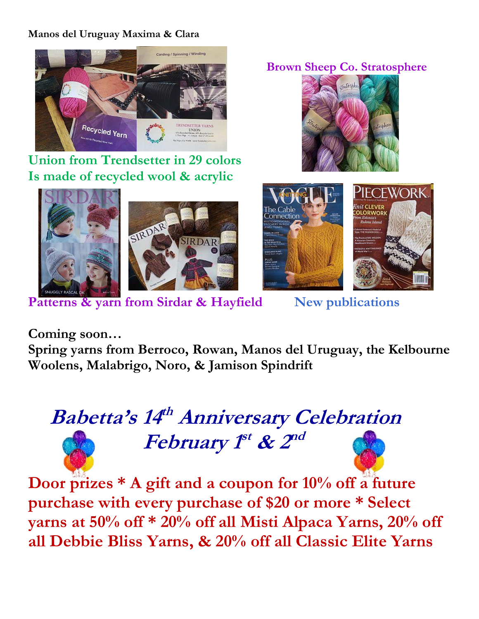#### **Manos del Uruguay Maxima & Clara**



**Union from Trendsetter in 29 colors Is made of recycled wool & acrylic**





 **Brown Sheep Co. Stratosphere**





**Coming soon…**

**Spring yarns from Berroco, Rowan, Manos del Uruguay, the Kelbourne Woolens, Malabrigo, Noro, & Jamison Spindrift**

# **Babetta's 14 th Anniversary Celebration** *February 1<sup>st</sup> & 2<sup>nd</sup>*

**Door prizes \* A gift and a coupon for 10% off a future purchase with every purchase of \$20 or more \* Select yarns at 50% off \* 20% off all Misti Alpaca Yarns, 20% off all Debbie Bliss Yarns, & 20% off all Classic Elite Yarns**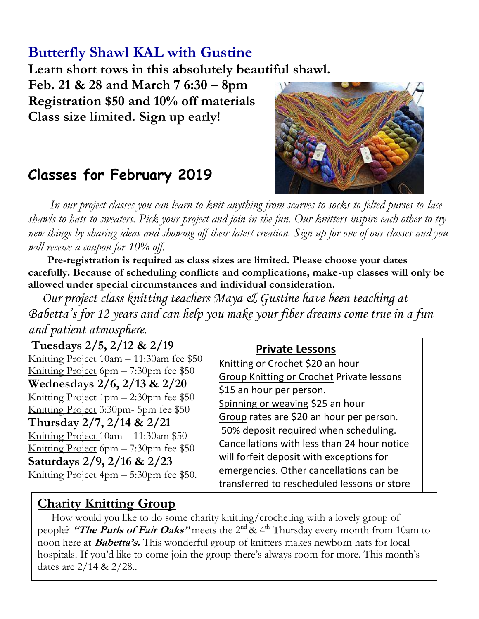## **Butterfly Shawl KAL with Gustine**

**Learn short rows in this absolutely beautiful shawl.**

**Feb. 21 & 28 and March 7 6:30 – 8pm Registration \$50 and 10% off materials Class size limited. Sign up early!**



## **Classes for February 2019**

 *In our project classes you can learn to knit anything from scarves to socks to felted purses to lace shawls to hats to sweaters. Pick your project and join in the fun. Our knitters inspire each other to try new things by sharing ideas and showing off their latest creation. Sign up for one of our classes and you will receive a coupon for 10% off.*

 **Pre-registration is required as class sizes are limited. Please choose your dates carefully. Because of scheduling conflicts and complications, make-up classes will only be allowed under special circumstances and individual consideration.**

*Our project class knitting teachers Maya & Gustine have been teaching at Babetta's for 12 years and can help you make your fiber dreams come true in a fun and patient atmosphere.*

**Tuesdays 2/5, 2/12 & 2/19** Knitting Project 10am – 11:30am fee \$50 Knitting Project 6pm – 7:30pm fee \$50 **Wednesdays 2/6, 2/13 & 2/20** Knitting Project  $1pm - 2:30pm$  fee \$50 Knitting Project 3:30pm- 5pm fee \$50 **Thursday 2/7, 2/14 & 2/21** Knitting Project 10am – 11:30am \$50 Knitting Project 6pm  $- 7:30$ pm fee \$50 **Saturdays 2/9, 2/16 & 2/23** Knitting Project 4pm – 5:30pm fee \$50.

#### **Private Lessons**

Knitting or Crochet \$20 an hour Group Knitting or Crochet Private lessons \$15 an hour per person. Spinning or weaving \$25 an hour Group rates are \$20 an hour per person. 50% deposit required when scheduling. Cancellations with less than 24 hour notice will forfeit deposit with exceptions for emergencies. Other cancellations can be transferred to rescheduled lessons or store

### **Charity Knitting Group**

 How would you like to do some charity knitting/crocheting with a lovely group of people? **"The Purls of Fair Oaks"** meets the 2nd & 4th Thursday every month from 10am to noon here at **Babetta's.** This wonderful group of knitters makes newborn hats for local hospitals. If you'd like to come join the group there's always room for more. This month's dates are 2/14 & 2/28..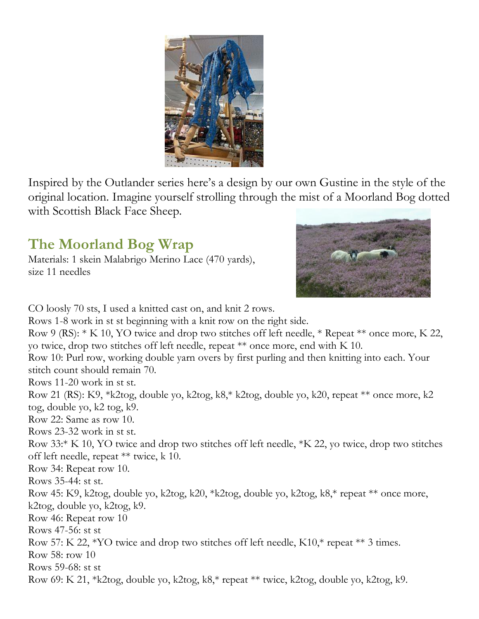

Inspired by the Outlander series here's a design by our own Gustine in the style of the original location. Imagine yourself strolling through the mist of a Moorland Bog dotted with Scottish Black Face Sheep.

## **The Moorland Bog Wrap**

Materials: 1 skein Malabrigo Merino Lace (470 yards), size 11 needles



CO loosly 70 sts, I used a knitted cast on, and knit 2 rows. Rows 1-8 work in st st beginning with a knit row on the right side. Row 9 (RS): \* K 10, YO twice and drop two stitches off left needle, \* Repeat \*\* once more, K 22, yo twice, drop two stitches off left needle, repeat \*\* once more, end with K 10. Row 10: Purl row, working double yarn overs by first purling and then knitting into each. Your stitch count should remain 70. Rows 11-20 work in st st. Row 21 (RS): K9, \*k2tog, double yo, k2tog, k8,\* k2tog, double yo, k20, repeat \*\* once more, k2 tog, double yo, k2 tog, k9. Row 22: Same as row 10. Rows 23-32 work in st st. Row 33:\* K 10, YO twice and drop two stitches off left needle, \*K 22, yo twice, drop two stitches off left needle, repeat \*\* twice, k 10. Row 34: Repeat row 10. Rows 35-44: st st. Row 45: K9, k2tog, double yo, k2tog, k20, \*k2tog, double yo, k2tog, k8,\* repeat \*\* once more, k2tog, double yo, k2tog, k9. Row 46: Repeat row 10 Rows 47-56: st st Row 57: K 22, \*YO twice and drop two stitches off left needle, K10,\* repeat \*\* 3 times. Row 58: row 10 Rows 59-68: st st Row 69: K 21, \*k2tog, double yo, k2tog, k8,\* repeat \*\* twice, k2tog, double yo, k2tog, k9.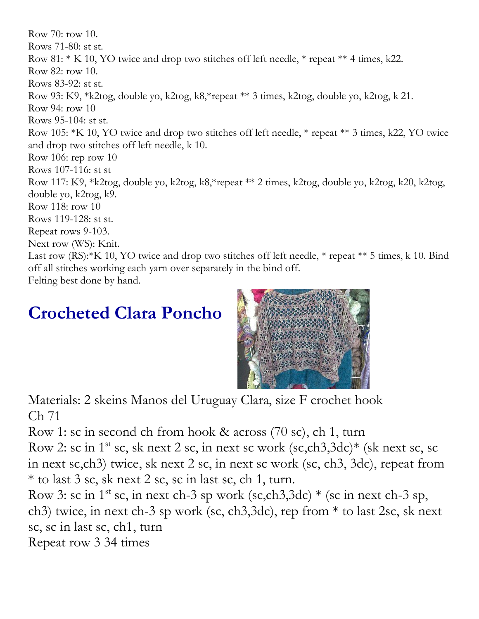Row 70: row 10. Rows 71-80: st st. Row 81: \* K 10, YO twice and drop two stitches off left needle, \* repeat \*\* 4 times, k22. Row 82: row 10. Rows 83-92: st st. Row 93: K9, \*k2tog, double yo, k2tog, k8,\*repeat \*\* 3 times, k2tog, double yo, k2tog, k 21. Row 94: row 10 Rows 95-104: st st. Row 105: \*K 10, YO twice and drop two stitches off left needle, \* repeat \*\* 3 times, k22, YO twice and drop two stitches off left needle, k 10. Row 106: rep row 10 Rows 107-116: st st Row 117: K9, \*k2tog, double yo, k2tog, k8,\*repeat \*\* 2 times, k2tog, double yo, k2tog, k20, k2tog, double yo, k2tog, k9. Row 118: row 10 Rows 119-128: st st. Repeat rows 9-103. Next row (WS): Knit. Last row (RS):<sup>\*</sup>K 10, YO twice and drop two stitches off left needle, \* repeat \*\* 5 times, k 10. Bind off all stitches working each yarn over separately in the bind off. Felting best done by hand.

## **Crocheted Clara Poncho**



Materials: 2 skeins Manos del Uruguay Clara, size F crochet hook Ch 71

Row 1: sc in second ch from hook & across (70 sc), ch 1, turn

Row 2: sc in  $1^{st}$  sc, sk next 2 sc, in next sc work (sc,ch3,3dc)\* (sk next sc, sc in next sc,ch3) twice, sk next 2 sc, in next sc work (sc, ch3, 3dc), repeat from \* to last 3 sc, sk next 2 sc, sc in last sc, ch 1, turn.

Row 3: sc in 1<sup>st</sup> sc, in next ch-3 sp work (sc,ch3,3dc)  $*$  (sc in next ch-3 sp, ch3) twice, in next ch-3 sp work (sc, ch3,3dc), rep from \* to last 2sc, sk next sc, sc in last sc, ch1, turn

Repeat row 3 34 times